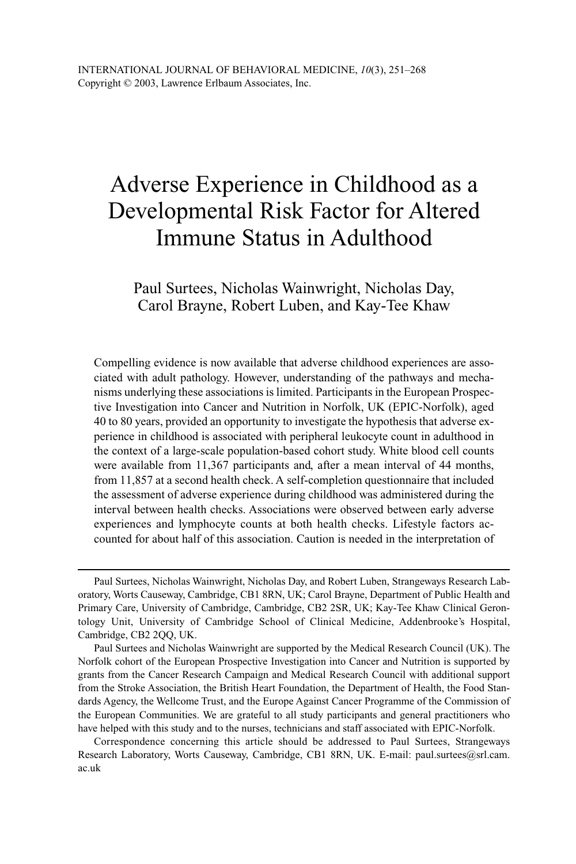# Adverse Experience in Childhood as a Developmental Risk Factor for Altered Immune Status in Adulthood

## Paul Surtees, Nicholas Wainwright, Nicholas Day, Carol Brayne, Robert Luben, and Kay-Tee Khaw

Compelling evidence is now available that adverse childhood experiences are associated with adult pathology. However, understanding of the pathways and mechanisms underlying these associations is limited. Participants in the European Prospective Investigation into Cancer and Nutrition in Norfolk, UK (EPIC-Norfolk), aged 40 to 80 years, provided an opportunity to investigate the hypothesis that adverse experience in childhood is associated with peripheral leukocyte count in adulthood in the context of a large-scale population-based cohort study. White blood cell counts were available from 11,367 participants and, after a mean interval of 44 months, from 11,857 at a second health check. A self-completion questionnaire that included the assessment of adverse experience during childhood was administered during the interval between health checks. Associations were observed between early adverse experiences and lymphocyte counts at both health checks. Lifestyle factors accounted for about half of this association. Caution is needed in the interpretation of

Paul Surtees, Nicholas Wainwright, Nicholas Day, and Robert Luben, Strangeways Research Laboratory, Worts Causeway, Cambridge, CB1 8RN, UK; Carol Brayne, Department of Public Health and Primary Care, University of Cambridge, Cambridge, CB2 2SR, UK; Kay-Tee Khaw Clinical Gerontology Unit, University of Cambridge School of Clinical Medicine, Addenbrooke's Hospital, Cambridge, CB2 2QQ, UK.

Paul Surtees and Nicholas Wainwright are supported by the Medical Research Council (UK). The Norfolk cohort of the European Prospective Investigation into Cancer and Nutrition is supported by grants from the Cancer Research Campaign and Medical Research Council with additional support from the Stroke Association, the British Heart Foundation, the Department of Health, the Food Standards Agency, the Wellcome Trust, and the Europe Against Cancer Programme of the Commission of the European Communities. We are grateful to all study participants and general practitioners who have helped with this study and to the nurses, technicians and staff associated with EPIC-Norfolk.

Correspondence concerning this article should be addressed to Paul Surtees, Strangeways Research Laboratory, Worts Causeway, Cambridge, CB1 8RN, UK. E-mail: paul.surtees@srl.cam. ac.uk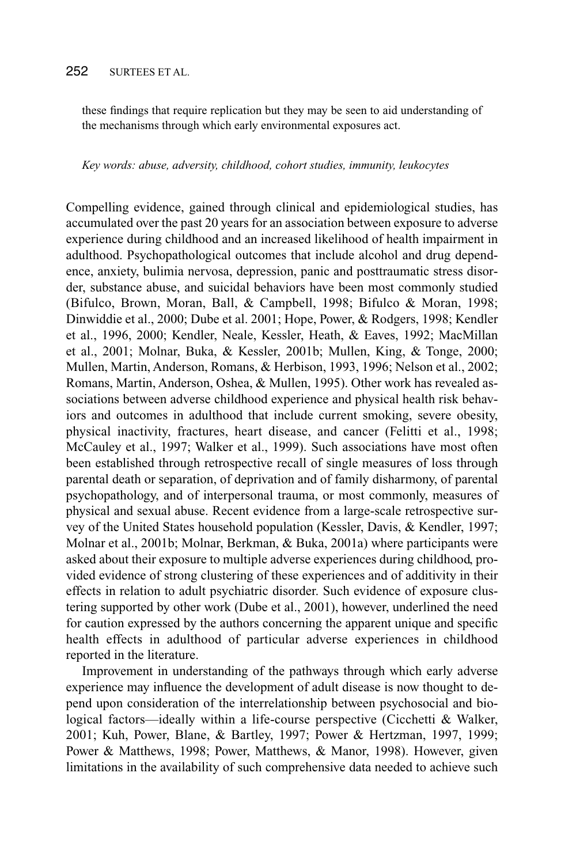## 252 SURTEES ET AL.

these findings that require replication but they may be seen to aid understanding of the mechanisms through which early environmental exposures act.

#### *Key words: abuse, adversity, childhood, cohort studies, immunity, leukocytes*

Compelling evidence, gained through clinical and epidemiological studies, has accumulated over the past 20 years for an association between exposure to adverse experience during childhood and an increased likelihood of health impairment in adulthood. Psychopathological outcomes that include alcohol and drug dependence, anxiety, bulimia nervosa, depression, panic and posttraumatic stress disorder, substance abuse, and suicidal behaviors have been most commonly studied (Bifulco, Brown, Moran, Ball, & Campbell, 1998; Bifulco & Moran, 1998; Dinwiddie et al., 2000; Dube et al. 2001; Hope, Power, & Rodgers, 1998; Kendler et al., 1996, 2000; Kendler, Neale, Kessler, Heath, & Eaves, 1992; MacMillan et al., 2001; Molnar, Buka, & Kessler, 2001b; Mullen, King, & Tonge, 2000; Mullen, Martin, Anderson, Romans, & Herbison, 1993, 1996; Nelson et al., 2002; Romans, Martin, Anderson, Oshea, & Mullen, 1995). Other work has revealed associations between adverse childhood experience and physical health risk behaviors and outcomes in adulthood that include current smoking, severe obesity, physical inactivity, fractures, heart disease, and cancer (Felitti et al., 1998; McCauley et al., 1997; Walker et al., 1999). Such associations have most often been established through retrospective recall of single measures of loss through parental death or separation, of deprivation and of family disharmony, of parental psychopathology, and of interpersonal trauma, or most commonly, measures of physical and sexual abuse. Recent evidence from a large-scale retrospective survey of the United States household population (Kessler, Davis, & Kendler, 1997; Molnar et al., 2001b; Molnar, Berkman, & Buka, 2001a) where participants were asked about their exposure to multiple adverse experiences during childhood, provided evidence of strong clustering of these experiences and of additivity in their effects in relation to adult psychiatric disorder. Such evidence of exposure clustering supported by other work (Dube et al., 2001), however, underlined the need for caution expressed by the authors concerning the apparent unique and specific health effects in adulthood of particular adverse experiences in childhood reported in the literature.

Improvement in understanding of the pathways through which early adverse experience may influence the development of adult disease is now thought to depend upon consideration of the interrelationship between psychosocial and biological factors—ideally within a life-course perspective (Cicchetti & Walker, 2001; Kuh, Power, Blane, & Bartley, 1997; Power & Hertzman, 1997, 1999; Power & Matthews, 1998; Power, Matthews, & Manor, 1998). However, given limitations in the availability of such comprehensive data needed to achieve such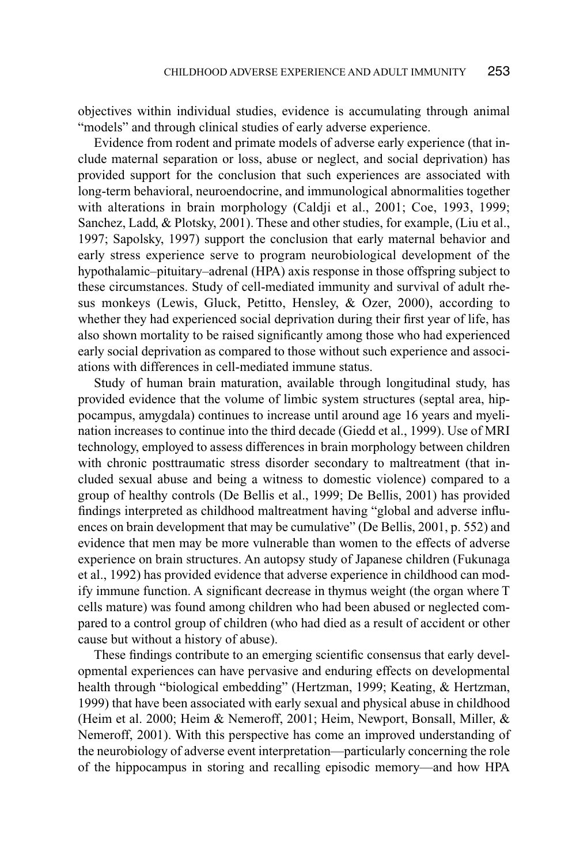objectives within individual studies, evidence is accumulating through animal "models" and through clinical studies of early adverse experience.

Evidence from rodent and primate models of adverse early experience (that include maternal separation or loss, abuse or neglect, and social deprivation) has provided support for the conclusion that such experiences are associated with long-term behavioral, neuroendocrine, and immunological abnormalities together with alterations in brain morphology (Caldii et al., 2001; Coe, 1993, 1999; Sanchez, Ladd, & Plotsky, 2001). These and other studies, for example, (Liu et al., 1997; Sapolsky, 1997) support the conclusion that early maternal behavior and early stress experience serve to program neurobiological development of the hypothalamic–pituitary–adrenal (HPA) axis response in those offspring subject to these circumstances. Study of cell-mediated immunity and survival of adult rhesus monkeys (Lewis, Gluck, Petitto, Hensley, & Ozer, 2000), according to whether they had experienced social deprivation during their first year of life, has also shown mortality to be raised significantly among those who had experienced early social deprivation as compared to those without such experience and associations with differences in cell-mediated immune status.

Study of human brain maturation, available through longitudinal study, has provided evidence that the volume of limbic system structures (septal area, hippocampus, amygdala) continues to increase until around age 16 years and myelination increases to continue into the third decade (Giedd et al., 1999). Use of MRI technology, employed to assess differences in brain morphology between children with chronic posttraumatic stress disorder secondary to maltreatment (that included sexual abuse and being a witness to domestic violence) compared to a group of healthy controls (De Bellis et al., 1999; De Bellis, 2001) has provided findings interpreted as childhood maltreatment having "global and adverse influences on brain development that may be cumulative" (De Bellis, 2001, p. 552) and evidence that men may be more vulnerable than women to the effects of adverse experience on brain structures. An autopsy study of Japanese children (Fukunaga et al., 1992) has provided evidence that adverse experience in childhood can modify immune function. A significant decrease in thymus weight (the organ where T cells mature) was found among children who had been abused or neglected compared to a control group of children (who had died as a result of accident or other cause but without a history of abuse).

These findings contribute to an emerging scientific consensus that early developmental experiences can have pervasive and enduring effects on developmental health through "biological embedding" (Hertzman, 1999; Keating, & Hertzman, 1999) that have been associated with early sexual and physical abuse in childhood (Heim et al. 2000; Heim & Nemeroff, 2001; Heim, Newport, Bonsall, Miller, & Nemeroff, 2001). With this perspective has come an improved understanding of the neurobiology of adverse event interpretation—particularly concerning the role of the hippocampus in storing and recalling episodic memory—and how HPA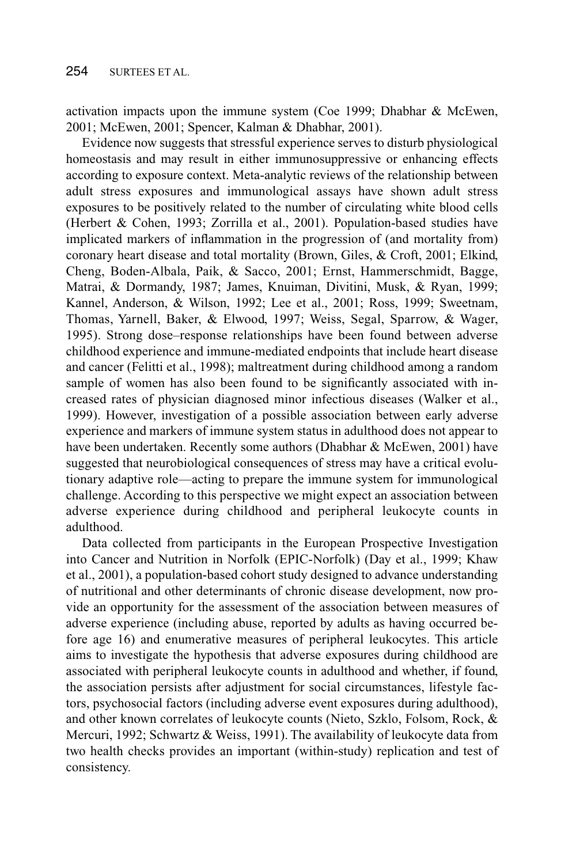activation impacts upon the immune system (Coe 1999; Dhabhar & McEwen, 2001; McEwen, 2001; Spencer, Kalman & Dhabhar, 2001).

Evidence now suggests that stressful experience serves to disturb physiological homeostasis and may result in either immunosuppressive or enhancing effects according to exposure context. Meta-analytic reviews of the relationship between adult stress exposures and immunological assays have shown adult stress exposures to be positively related to the number of circulating white blood cells (Herbert & Cohen, 1993; Zorrilla et al., 2001). Population-based studies have implicated markers of inflammation in the progression of (and mortality from) coronary heart disease and total mortality (Brown, Giles, & Croft, 2001; Elkind, Cheng, Boden-Albala, Paik, & Sacco, 2001; Ernst, Hammerschmidt, Bagge, Matrai, & Dormandy, 1987; James, Knuiman, Divitini, Musk, & Ryan, 1999; Kannel, Anderson, & Wilson, 1992; Lee et al., 2001; Ross, 1999; Sweetnam, Thomas, Yarnell, Baker, & Elwood, 1997; Weiss, Segal, Sparrow, & Wager, 1995). Strong dose–response relationships have been found between adverse childhood experience and immune-mediated endpoints that include heart disease and cancer (Felitti et al., 1998); maltreatment during childhood among a random sample of women has also been found to be significantly associated with increased rates of physician diagnosed minor infectious diseases (Walker et al., 1999). However, investigation of a possible association between early adverse experience and markers of immune system status in adulthood does not appear to have been undertaken. Recently some authors (Dhabhar & McEwen, 2001) have suggested that neurobiological consequences of stress may have a critical evolutionary adaptive role—acting to prepare the immune system for immunological challenge. According to this perspective we might expect an association between adverse experience during childhood and peripheral leukocyte counts in adulthood.

Data collected from participants in the European Prospective Investigation into Cancer and Nutrition in Norfolk (EPIC-Norfolk) (Day et al., 1999; Khaw et al., 2001), a population-based cohort study designed to advance understanding of nutritional and other determinants of chronic disease development, now provide an opportunity for the assessment of the association between measures of adverse experience (including abuse, reported by adults as having occurred before age 16) and enumerative measures of peripheral leukocytes. This article aims to investigate the hypothesis that adverse exposures during childhood are associated with peripheral leukocyte counts in adulthood and whether, if found, the association persists after adjustment for social circumstances, lifestyle factors, psychosocial factors (including adverse event exposures during adulthood), and other known correlates of leukocyte counts (Nieto, Szklo, Folsom, Rock, & Mercuri, 1992; Schwartz & Weiss, 1991). The availability of leukocyte data from two health checks provides an important (within-study) replication and test of consistency.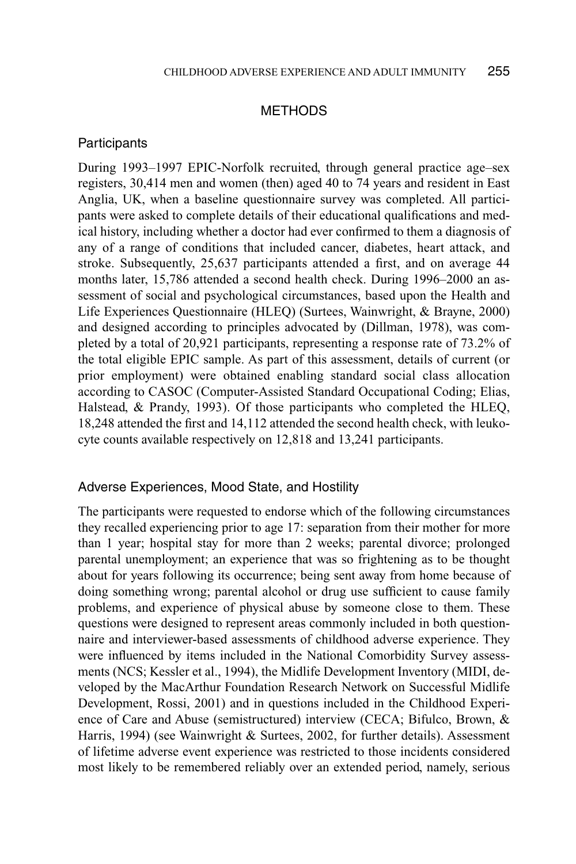#### METHODS

#### **Participants**

During 1993–1997 EPIC-Norfolk recruited, through general practice age–sex registers, 30,414 men and women (then) aged 40 to 74 years and resident in East Anglia, UK, when a baseline questionnaire survey was completed. All participants were asked to complete details of their educational qualifications and medical history, including whether a doctor had ever confirmed to them a diagnosis of any of a range of conditions that included cancer, diabetes, heart attack, and stroke. Subsequently, 25,637 participants attended a first, and on average 44 months later, 15,786 attended a second health check. During 1996–2000 an assessment of social and psychological circumstances, based upon the Health and Life Experiences Questionnaire (HLEQ) (Surtees, Wainwright, & Brayne, 2000) and designed according to principles advocated by (Dillman, 1978), was completed by a total of 20,921 participants, representing a response rate of 73.2% of the total eligible EPIC sample. As part of this assessment, details of current (or prior employment) were obtained enabling standard social class allocation according to CASOC (Computer-Assisted Standard Occupational Coding; Elias, Halstead, & Prandy, 1993). Of those participants who completed the HLEQ, 18,248 attended the first and 14,112 attended the second health check, with leukocyte counts available respectively on 12,818 and 13,241 participants.

#### Adverse Experiences, Mood State, and Hostility

The participants were requested to endorse which of the following circumstances they recalled experiencing prior to age 17: separation from their mother for more than 1 year; hospital stay for more than 2 weeks; parental divorce; prolonged parental unemployment; an experience that was so frightening as to be thought about for years following its occurrence; being sent away from home because of doing something wrong; parental alcohol or drug use sufficient to cause family problems, and experience of physical abuse by someone close to them. These questions were designed to represent areas commonly included in both questionnaire and interviewer-based assessments of childhood adverse experience. They were influenced by items included in the National Comorbidity Survey assessments (NCS; Kessler et al., 1994), the Midlife Development Inventory (MIDI, developed by the MacArthur Foundation Research Network on Successful Midlife Development, Rossi, 2001) and in questions included in the Childhood Experience of Care and Abuse (semistructured) interview (CECA; Bifulco, Brown, & Harris, 1994) (see Wainwright & Surtees, 2002, for further details). Assessment of lifetime adverse event experience was restricted to those incidents considered most likely to be remembered reliably over an extended period, namely, serious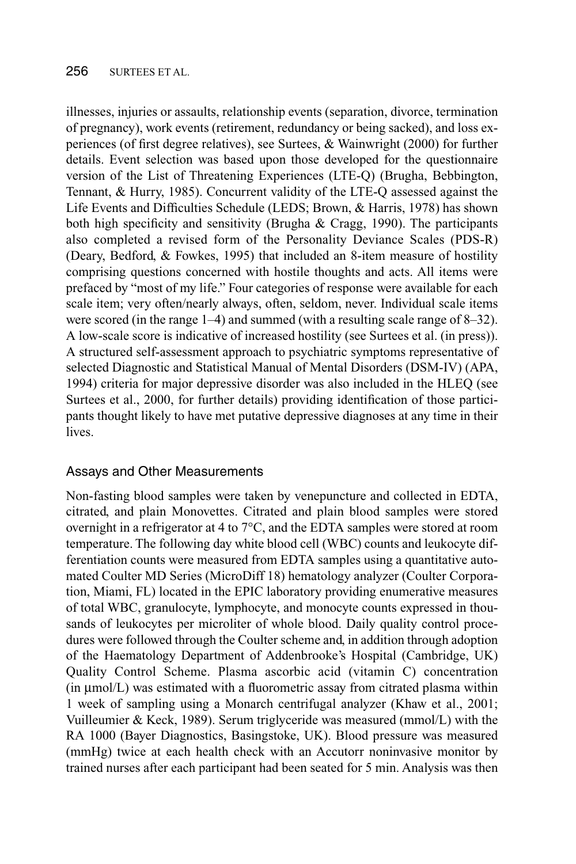illnesses, injuries or assaults, relationship events (separation, divorce, termination of pregnancy), work events (retirement, redundancy or being sacked), and loss experiences (of first degree relatives), see Surtees, & Wainwright (2000) for further details. Event selection was based upon those developed for the questionnaire version of the List of Threatening Experiences (LTE-Q) (Brugha, Bebbington, Tennant, & Hurry, 1985). Concurrent validity of the LTE-Q assessed against the Life Events and Difficulties Schedule (LEDS; Brown, & Harris, 1978) has shown both high specificity and sensitivity (Brugha  $\&$  Cragg, 1990). The participants also completed a revised form of the Personality Deviance Scales (PDS-R) (Deary, Bedford, & Fowkes, 1995) that included an 8-item measure of hostility comprising questions concerned with hostile thoughts and acts. All items were prefaced by "most of my life." Four categories of response were available for each scale item; very often/nearly always, often, seldom, never. Individual scale items were scored (in the range 1–4) and summed (with a resulting scale range of 8–32). A low-scale score is indicative of increased hostility (see Surtees et al. (in press)). A structured self-assessment approach to psychiatric symptoms representative of selected Diagnostic and Statistical Manual of Mental Disorders (DSM-IV) (APA, 1994) criteria for major depressive disorder was also included in the HLEQ (see Surtees et al., 2000, for further details) providing identification of those participants thought likely to have met putative depressive diagnoses at any time in their lives.

### Assays and Other Measurements

Non-fasting blood samples were taken by venepuncture and collected in EDTA, citrated, and plain Monovettes. Citrated and plain blood samples were stored overnight in a refrigerator at 4 to 7°C, and the EDTA samples were stored at room temperature. The following day white blood cell (WBC) counts and leukocyte differentiation counts were measured from EDTA samples using a quantitative automated Coulter MD Series (MicroDiff 18) hematology analyzer (Coulter Corporation, Miami, FL) located in the EPIC laboratory providing enumerative measures of total WBC, granulocyte, lymphocyte, and monocyte counts expressed in thousands of leukocytes per microliter of whole blood. Daily quality control procedures were followed through the Coulter scheme and, in addition through adoption of the Haematology Department of Addenbrooke's Hospital (Cambridge, UK) Quality Control Scheme. Plasma ascorbic acid (vitamin C) concentration (in µmol/L) was estimated with a fluorometric assay from citrated plasma within 1 week of sampling using a Monarch centrifugal analyzer (Khaw et al., 2001; Vuilleumier & Keck, 1989). Serum triglyceride was measured (mmol/L) with the RA 1000 (Bayer Diagnostics, Basingstoke, UK). Blood pressure was measured (mmHg) twice at each health check with an Accutorr noninvasive monitor by trained nurses after each participant had been seated for 5 min. Analysis was then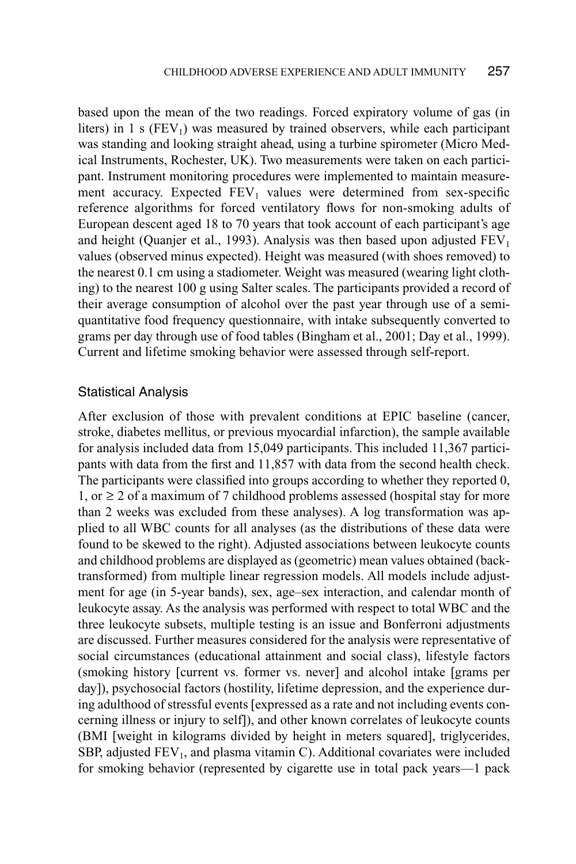based upon the mean of the two readings. Forced expiratory volume of gas (in liters) in  $1 \text{ s}$  (FEV<sub>1</sub>) was measured by trained observers, while each participant was standing and looking straight ahead, using a turbine spirometer (Micro Medical Instruments, Rochester, UK). Two measurements were taken on each participant. Instrument monitoring procedures were implemented to maintain measurement accuracy. Expected  $FEV<sub>1</sub>$  values were determined from sex-specific reference algorithms for forced ventilatory flows for non-smoking adults of European descent aged 18 to 70 years that took account of each participant's age and height (Quanjer et al., 1993). Analysis was then based upon adjusted  $FEV<sub>1</sub>$ values (observed minus expected). Height was measured (with shoes removed) to the nearest 0.1 cm using a stadiometer. Weight was measured (wearing light clothing) to the nearest 100 g using Salter scales. The participants provided a record of their average consumption of alcohol over the past year through use of a semiquantitative food frequency questionnaire, with intake subsequently converted to grams per day through use of food tables (Bingham et al., 2001; Day et al., 1999). Current and lifetime smoking behavior were assessed through self-report.

#### Statistical Analysis

After exclusion of those with prevalent conditions at EPIC baseline (cancer, stroke, diabetes mellitus, or previous myocardial infarction), the sample available for analysis included data from 15,049 participants. This included 11,367 participants with data from the first and 11,857 with data from the second health check. The participants were classified into groups according to whether they reported 0, 1, or ≥ 2 of a maximum of 7 childhood problems assessed (hospital stay for more than 2 weeks was excluded from these analyses). A log transformation was applied to all WBC counts for all analyses (as the distributions of these data were found to be skewed to the right). Adjusted associations between leukocyte counts and childhood problems are displayed as (geometric) mean values obtained (backtransformed) from multiple linear regression models. All models include adjustment for age (in 5-year bands), sex, age–sex interaction, and calendar month of leukocyte assay. As the analysis was performed with respect to total WBC and the three leukocyte subsets, multiple testing is an issue and Bonferroni adjustments are discussed. Further measures considered for the analysis were representative of social circumstances (educational attainment and social class), lifestyle factors (smoking history [current vs. former vs. never] and alcohol intake [grams per day]), psychosocial factors (hostility, lifetime depression, and the experience during adulthood of stressful events [expressed as a rate and not including events concerning illness or injury to self]), and other known correlates of leukocyte counts (BMI [weight in kilograms divided by height in meters squared], triglycerides, SBP, adjusted  $FEV<sub>1</sub>$ , and plasma vitamin C). Additional covariates were included for smoking behavior (represented by cigarette use in total pack years—1 pack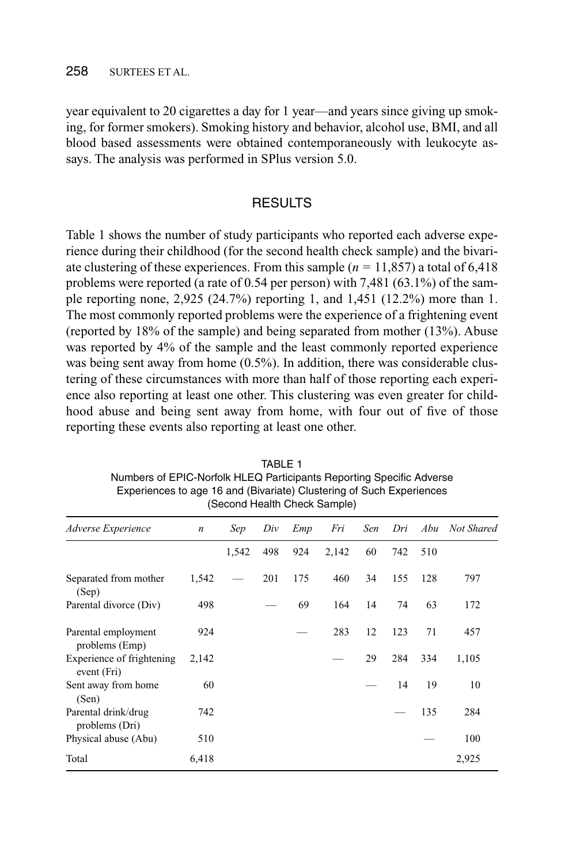#### 258 SURTEES ET AL.

year equivalent to 20 cigarettes a day for 1 year—and years since giving up smoking, for former smokers). Smoking history and behavior, alcohol use, BMI, and all blood based assessments were obtained contemporaneously with leukocyte assays. The analysis was performed in SPlus version 5.0.

### **RESULTS**

Table 1 shows the number of study participants who reported each adverse experience during their childhood (for the second health check sample) and the bivariate clustering of these experiences. From this sample (*n* = 11,857) a total of 6,418 problems were reported (a rate of  $0.54$  per person) with 7,481 (63.1%) of the sample reporting none, 2,925 (24.7%) reporting 1, and 1,451 (12.2%) more than 1. The most commonly reported problems were the experience of a frightening event (reported by 18% of the sample) and being separated from mother (13%). Abuse was reported by 4% of the sample and the least commonly reported experience was being sent away from home (0.5%). In addition, there was considerable clustering of these circumstances with more than half of those reporting each experience also reporting at least one other. This clustering was even greater for childhood abuse and being sent away from home, with four out of five of those reporting these events also reporting at least one other.

| (Second Health Check Sample)             |                  |       |     |     |       |     |     |     |            |
|------------------------------------------|------------------|-------|-----|-----|-------|-----|-----|-----|------------|
| Adverse Experience                       | $\boldsymbol{n}$ | Sep   | Div | Emp | Fri   | Sen | Dri | Abu | Not Shared |
|                                          |                  | 1,542 | 498 | 924 | 2,142 | 60  | 742 | 510 |            |
| Separated from mother<br>(Sep)           | 1,542            |       | 201 | 175 | 460   | 34  | 155 | 128 | 797        |
| Parental divorce (Div)                   | 498              |       |     | 69  | 164   | 14  | 74  | 63  | 172        |
| Parental employment<br>problems (Emp)    | 924              |       |     |     | 283   | 12  | 123 | 71  | 457        |
| Experience of frightening<br>event (Fri) | 2,142            |       |     |     |       | 29  | 284 | 334 | 1,105      |
| Sent away from home<br>(Sen)             | 60               |       |     |     |       |     | 14  | 19  | 10         |
| Parental drink/drug<br>problems (Dri)    | 742              |       |     |     |       |     |     | 135 | 284        |
| Physical abuse (Abu)                     | 510              |       |     |     |       |     |     |     | 100        |
| Total                                    | 6.418            |       |     |     |       |     |     |     | 2,925      |

TABLE 1 Numbers of EPIC-Norfolk HLEQ Participants Reporting Specific Adverse Experiences to age 16 and (Bivariate) Clustering of Such Experiences (Second Health Check Sample)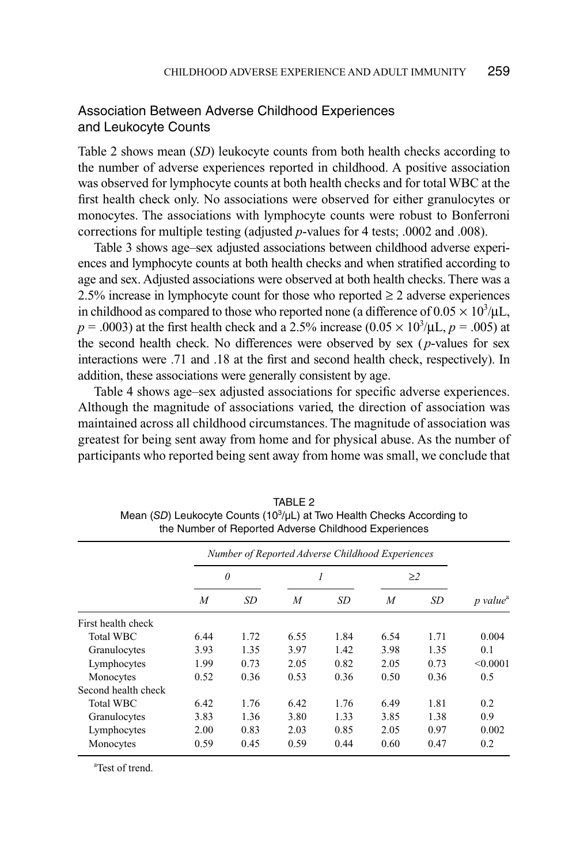## Association Between Adverse Childhood Experiences and Leukocyte Counts

Table 2 shows mean (*SD*) leukocyte counts from both health checks according to the number of adverse experiences reported in childhood. A positive association was observed for lymphocyte counts at both health checks and for total WBC at the first health check only. No associations were observed for either granulocytes or monocytes. The associations with lymphocyte counts were robust to Bonferroni corrections for multiple testing (adjusted *p*-values for 4 tests; .0002 and .008).

Table 3 shows age–sex adjusted associations between childhood adverse experiences and lymphocyte counts at both health checks and when stratified according to age and sex. Adjusted associations were observed at both health checks. There was a 2.5% increase in lymphocyte count for those who reported  $\geq 2$  adverse experiences in childhood as compared to those who reported none (a difference of  $0.05 \times 10^3/\mu L$ ,  $p = .0003$ ) at the first health check and a 2.5% increase  $(0.05 \times 10^3/\mu L, p = .005)$  at the second health check. No differences were observed by sex ( *p*-values for sex interactions were .71 and .18 at the first and second health check, respectively). In addition, these associations were generally consistent by age.

Table 4 shows age–sex adjusted associations for specific adverse experiences. Although the magnitude of associations varied, the direction of association was maintained across all childhood circumstances. The magnitude of association was greatest for being sent away from home and for physical abuse. As the number of participants who reported being sent away from home was small, we conclude that

|                     | Number of Reported Adverse Childhood Experiences |      |      |      |          |           |                      |
|---------------------|--------------------------------------------------|------|------|------|----------|-----------|----------------------|
|                     | $\theta$                                         |      | 1    |      | $\geq$ 2 |           |                      |
|                     | $\overline{M}$                                   | SD   | M    | SD   | M        | <b>SD</b> | p value <sup>a</sup> |
| First health check  |                                                  |      |      |      |          |           |                      |
| <b>Total WBC</b>    | 6.44                                             | 1.72 | 6.55 | 1.84 | 6.54     | 1.71      | 0.004                |
| Granulocytes        | 3.93                                             | 1.35 | 3.97 | 1.42 | 3.98     | 1.35      | 0.1                  |
| Lymphocytes         | 1.99                                             | 0.73 | 2.05 | 0.82 | 2.05     | 0.73      | < 0.0001             |
| Monocytes           | 0.52                                             | 0.36 | 0.53 | 0.36 | 0.50     | 0.36      | 0.5                  |
| Second health check |                                                  |      |      |      |          |           |                      |
| <b>Total WBC</b>    | 6.42                                             | 1.76 | 6.42 | 1.76 | 6.49     | 1.81      | 0.2                  |
| Granulocytes        | 3.83                                             | 1.36 | 3.80 | 1.33 | 3.85     | 1.38      | 0.9                  |
| Lymphocytes         | 2.00                                             | 0.83 | 2.03 | 0.85 | 2.05     | 0.97      | 0.002                |
| Monocytes           | 0.59                                             | 0.45 | 0.59 | 0.44 | 0.60     | 0.47      | 0.2                  |

TABLE 2 Mean (SD) Leukocyte Counts (10<sup>3</sup>/µL) at Two Health Checks According to the Number of Reported Adverse Childhood Experiences

a Test of trend.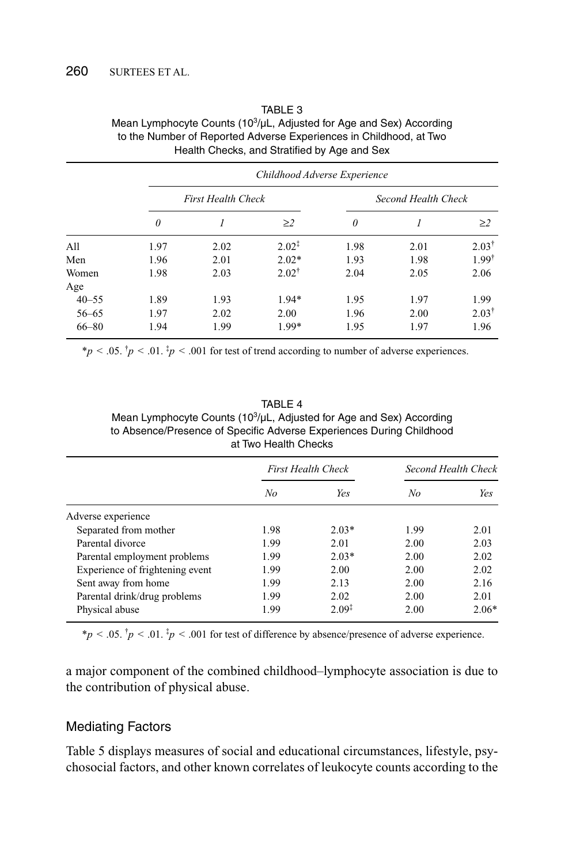|           | Childhood Adverse Experience |                           |                   |                     |      |                  |  |  |
|-----------|------------------------------|---------------------------|-------------------|---------------------|------|------------------|--|--|
|           |                              | <b>First Health Check</b> |                   | Second Health Check |      |                  |  |  |
|           | $\theta$                     |                           | $\geq$ 2          | $\theta$            |      | $\geq$ 2         |  |  |
| All       | 1.97                         | 2.02                      | $2.02^{\ddagger}$ | 1.98                | 2.01 | $2.03^{\dagger}$ |  |  |
| Men       | 1.96                         | 2.01                      | $2.02*$           | 1.93                | 1.98 | $1.99^{\dagger}$ |  |  |
| Women     | 1.98                         | 2.03                      | $2.02^{\dagger}$  | 2.04                | 2.05 | 2.06             |  |  |
| Age       |                              |                           |                   |                     |      |                  |  |  |
| $40 - 55$ | 1.89                         | 1.93                      | $1.94*$           | 1.95                | 1.97 | 1.99             |  |  |
| $56 - 65$ | 1.97                         | 2.02                      | 2.00              | 1.96                | 2.00 | $2.03^{\dagger}$ |  |  |
| $66 - 80$ | 1.94                         | 1.99                      | 1.99*             | 1.95                | 1.97 | 1.96             |  |  |

#### TABLE 3 Mean Lymphocyte Counts (10<sup>3</sup>/µL, Adjusted for Age and Sex) According to the Number of Reported Adverse Experiences in Childhood, at Two Health Checks, and Stratified by Age and Sex

 $* p < .05.$ <sup>†</sup> $p < .01.$ <sup>‡</sup> $p < .001$  for test of trend according to number of adverse experiences.

#### TABLE 4 Mean Lymphocyte Counts (10<sup>3</sup>/µL, Adjusted for Age and Sex) According to Absence/Presence of Specific Adverse Experiences During Childhood at Two Health Checks

|                                 | <b>First Health Check</b> |                   | Second Health Check |         |
|---------------------------------|---------------------------|-------------------|---------------------|---------|
|                                 | No                        | Yes               | No                  | Yes     |
| Adverse experience              |                           |                   |                     |         |
| Separated from mother           | 1.98                      | $2.03*$           | 1.99                | 2.01    |
| Parental divorce                | 1.99                      | 2.01              | 2.00                | 2.03    |
| Parental employment problems    | 1.99                      | $2.03*$           | 2.00                | 2.02    |
| Experience of frightening event | 1.99                      | 2.00              | 2.00                | 2.02    |
| Sent away from home             | 1.99                      | 2.13              | 2.00                | 2.16    |
| Parental drink/drug problems    | 1.99                      | 2.02              | 2.00                | 2.01    |
| Physical abuse                  | 1.99                      | $2.09^{\ddagger}$ | 2.00                | $2.06*$ |

 $* p < .05.$   $\dot{p} < .01.$   $\dot{p} < .001$  for test of difference by absence/presence of adverse experience.

a major component of the combined childhood–lymphocyte association is due to the contribution of physical abuse.

## Mediating Factors

Table 5 displays measures of social and educational circumstances, lifestyle, psychosocial factors, and other known correlates of leukocyte counts according to the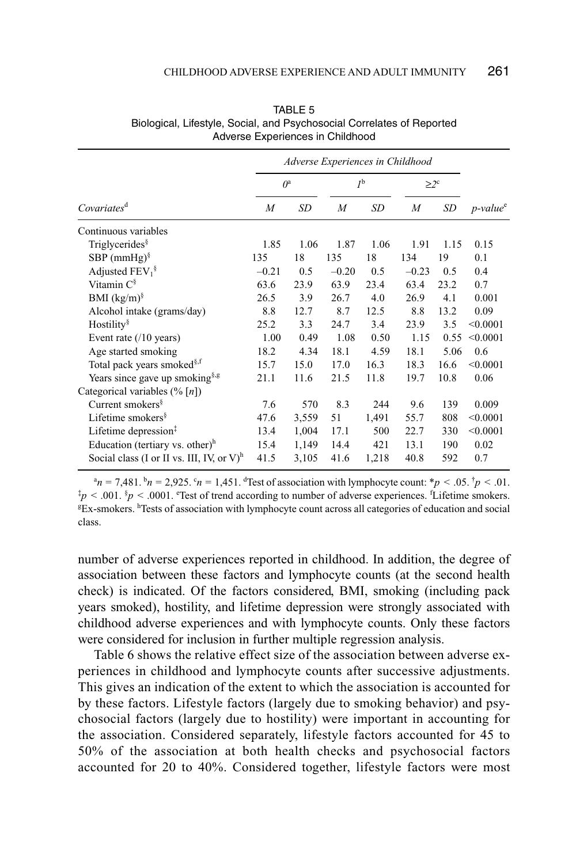|                                               | Adverse Experiences in Childhood |           |                  |           |            |      |                         |
|-----------------------------------------------|----------------------------------|-----------|------------------|-----------|------------|------|-------------------------|
|                                               | $O^a$                            |           | $I^{\rm b}$      |           | $\geq 2^c$ |      |                         |
| Covariates <sup>d</sup>                       | $\overline{M}$                   | <b>SD</b> | $\boldsymbol{M}$ | <b>SD</b> | M          | SD   | $p$ -value <sup>e</sup> |
| Continuous variables                          |                                  |           |                  |           |            |      |                         |
| Triglycerides $\frac{8}{3}$                   | 1.85                             | 1.06      | 1.87             | 1.06      | 1.91       | 1.15 | 0.15                    |
| SBP $(mmHg)^{\S}$                             | 135                              | 18        | 135              | 18        | 134        | 19   | 0.1                     |
| Adjusted $FEV_1^{\S}$                         | $-0.21$                          | 0.5       | $-0.20$          | 0.5       | $-0.23$    | 0.5  | 0.4                     |
| Vitamin $C^{\S}$                              | 63.6                             | 23.9      | 63.9             | 23.4      | 63.4       | 23.2 | 0.7                     |
| BMI $(kg/m)^{8}$                              | 26.5                             | 3.9       | 26.7             | 4.0       | 26.9       | 4.1  | 0.001                   |
| Alcohol intake (grams/day)                    | 8.8                              | 12.7      | 8.7              | 12.5      | 8.8        | 13.2 | 0.09                    |
| Hostility $\frac{8}{3}$                       | 25.2                             | 3.3       | 24.7             | 3.4       | 23.9       | 3.5  | < 0.0001                |
| Event rate $(10 \text{ years})$               | 1.00                             | 0.49      | 1.08             | 0.50      | 1.15       | 0.55 | < 0.0001                |
| Age started smoking                           | 18.2                             | 4.34      | 18.1             | 4.59      | 18.1       | 5.06 | 0.6                     |
| Total pack years smoked <sup>§, f</sup>       | 15.7                             | 15.0      | 17.0             | 16.3      | 18.3       | 16.6 | < 0.0001                |
| Years since gave up smoking <sup>§, g</sup>   | 21.1                             | 11.6      | 21.5             | 11.8      | 19.7       | 10.8 | 0.06                    |
| Categorical variables $(\% [n])$              |                                  |           |                  |           |            |      |                         |
| Current smokers $\frac{8}{3}$                 | 7.6                              | 570       | 8.3              | 244       | 9.6        | 139  | 0.009                   |
| Lifetime smokers <sup>§</sup>                 | 47.6                             | 3,559     | 51               | 1,491     | 55.7       | 808  | < 0.0001                |
| Lifetime depression $‡$                       | 13.4                             | 1,004     | 17.1             | 500       | 22.7       | 330  | < 0.0001                |
| Education (tertiary vs. other) $^h$           | 15.4                             | 1,149     | 14.4             | 421       | 13.1       | 190  | 0.02                    |
| Social class (I or II vs. III, IV, or $V^h$ ) | 41.5                             | 3,105     | 41.6             | 1,218     | 40.8       | 592  | 0.7                     |

TABLE 5 Biological, Lifestyle, Social, and Psychosocial Correlates of Reported Adverse Experiences in Childhood

 $a_n = 7{,}481$ .  $b_n = 2{,}925$ .  $c_n = 1{,}451$ . Test of association with lymphocyte count:  $b_n < .05$ .  $b_n < .01$ .  $\dot{p}$  < .001.  $\dot{p}$  < .0001. Test of trend according to number of adverse experiences. <sup>f</sup>Lifetime smokers. <sup>g</sup>Ex-smokers. <sup>h</sup>Tests of association with lymphocyte count across all categories of education and social class.

number of adverse experiences reported in childhood. In addition, the degree of association between these factors and lymphocyte counts (at the second health check) is indicated. Of the factors considered, BMI, smoking (including pack years smoked), hostility, and lifetime depression were strongly associated with childhood adverse experiences and with lymphocyte counts. Only these factors were considered for inclusion in further multiple regression analysis.

Table 6 shows the relative effect size of the association between adverse experiences in childhood and lymphocyte counts after successive adjustments. This gives an indication of the extent to which the association is accounted for by these factors. Lifestyle factors (largely due to smoking behavior) and psychosocial factors (largely due to hostility) were important in accounting for the association. Considered separately, lifestyle factors accounted for 45 to 50% of the association at both health checks and psychosocial factors accounted for 20 to 40%. Considered together, lifestyle factors were most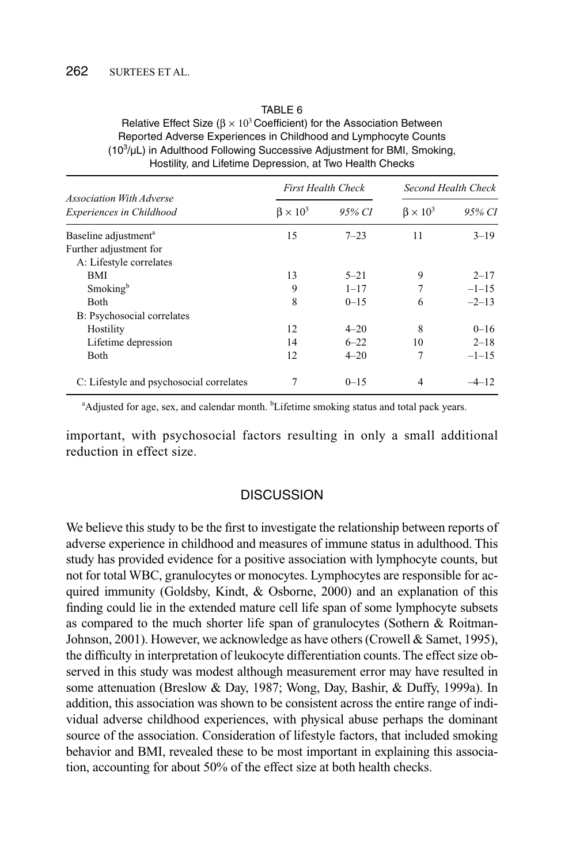#### TABLE 6

| Relative Effect Size ( $\beta \times 10^3$ Coefficient) for the Association Between |
|-------------------------------------------------------------------------------------|
| Reported Adverse Experiences in Childhood and Lymphocyte Counts                     |
| $(103/\mu L)$ in Adulthood Following Successive Adjustment for BMI, Smoking,        |
| Hostility, and Lifetime Depression, at Two Health Checks                            |

|                                                      |                     | <b>First Health Check</b> | Second Health Check |          |  |
|------------------------------------------------------|---------------------|---------------------------|---------------------|----------|--|
| Association With Adverse<br>Experiences in Childhood | $\beta \times 10^3$ | 95% CI                    | $B \times 10^3$     | 95% CI   |  |
| Baseline adjustment <sup>a</sup>                     | 15                  | $7 - 23$                  | 11                  | $3 - 19$ |  |
| Further adjustment for                               |                     |                           |                     |          |  |
| A: Lifestyle correlates                              |                     |                           |                     |          |  |
| BMI                                                  | 13                  | $5 - 21$                  | 9                   | $2 - 17$ |  |
| Smoking <sup>b</sup>                                 | 9                   | $1 - 17$                  | 7                   | $-1-15$  |  |
| <b>Both</b>                                          | 8                   | $0 - 15$                  | 6                   | $-2-13$  |  |
| B: Psychosocial correlates                           |                     |                           |                     |          |  |
| Hostility                                            | 12                  | $4 - 20$                  | 8                   | $0 - 16$ |  |
| Lifetime depression                                  | 14                  | $6 - 22$                  | 10                  | $2 - 18$ |  |
| Both                                                 | 12                  | $4 - 20$                  | 7                   | $-1-15$  |  |
| C: Lifestyle and psychosocial correlates             |                     | $0 - 1.5$                 | 4                   | $-4-12$  |  |

<sup>a</sup>Adjusted for age, sex, and calendar month. <sup>b</sup>Lifetime smoking status and total pack years.

important, with psychosocial factors resulting in only a small additional reduction in effect size.

#### **DISCUSSION**

We believe this study to be the first to investigate the relationship between reports of adverse experience in childhood and measures of immune status in adulthood. This study has provided evidence for a positive association with lymphocyte counts, but not for total WBC, granulocytes or monocytes. Lymphocytes are responsible for acquired immunity (Goldsby, Kindt, & Osborne, 2000) and an explanation of this finding could lie in the extended mature cell life span of some lymphocyte subsets as compared to the much shorter life span of granulocytes (Sothern & Roitman-Johnson, 2001). However, we acknowledge as have others (Crowell & Samet, 1995), the difficulty in interpretation of leukocyte differentiation counts. The effect size observed in this study was modest although measurement error may have resulted in some attenuation (Breslow & Day, 1987; Wong, Day, Bashir, & Duffy, 1999a). In addition, this association was shown to be consistent across the entire range of individual adverse childhood experiences, with physical abuse perhaps the dominant source of the association. Consideration of lifestyle factors, that included smoking behavior and BMI, revealed these to be most important in explaining this association, accounting for about 50% of the effect size at both health checks.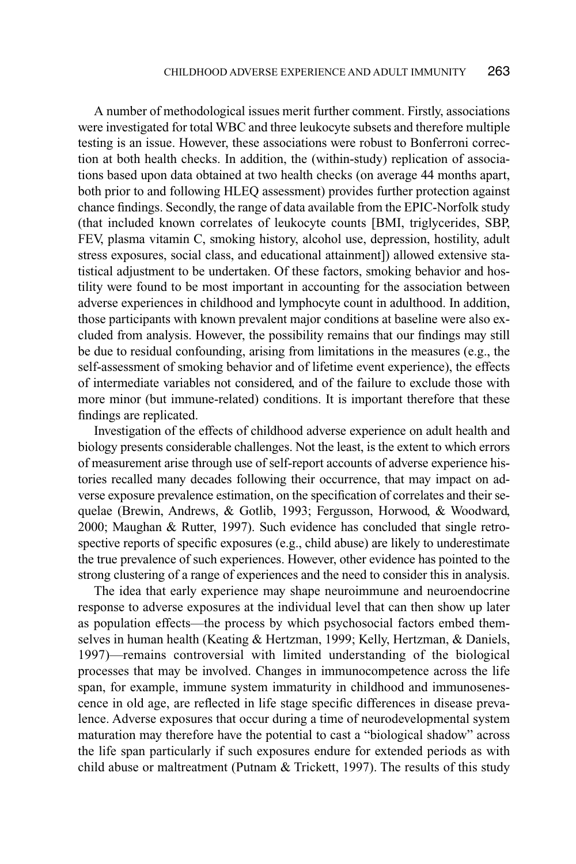A number of methodological issues merit further comment. Firstly, associations were investigated for total WBC and three leukocyte subsets and therefore multiple testing is an issue. However, these associations were robust to Bonferroni correction at both health checks. In addition, the (within-study) replication of associations based upon data obtained at two health checks (on average 44 months apart, both prior to and following HLEQ assessment) provides further protection against chance findings. Secondly, the range of data available from the EPIC-Norfolk study (that included known correlates of leukocyte counts [BMI, triglycerides, SBP, FEV, plasma vitamin C, smoking history, alcohol use, depression, hostility, adult stress exposures, social class, and educational attainment]) allowed extensive statistical adjustment to be undertaken. Of these factors, smoking behavior and hostility were found to be most important in accounting for the association between adverse experiences in childhood and lymphocyte count in adulthood. In addition, those participants with known prevalent major conditions at baseline were also excluded from analysis. However, the possibility remains that our findings may still be due to residual confounding, arising from limitations in the measures (e.g., the self-assessment of smoking behavior and of lifetime event experience), the effects of intermediate variables not considered, and of the failure to exclude those with more minor (but immune-related) conditions. It is important therefore that these findings are replicated.

Investigation of the effects of childhood adverse experience on adult health and biology presents considerable challenges. Not the least, is the extent to which errors of measurement arise through use of self-report accounts of adverse experience histories recalled many decades following their occurrence, that may impact on adverse exposure prevalence estimation, on the specification of correlates and their sequelae (Brewin, Andrews, & Gotlib, 1993; Fergusson, Horwood, & Woodward, 2000; Maughan & Rutter, 1997). Such evidence has concluded that single retrospective reports of specific exposures (e.g., child abuse) are likely to underestimate the true prevalence of such experiences. However, other evidence has pointed to the strong clustering of a range of experiences and the need to consider this in analysis.

The idea that early experience may shape neuroimmune and neuroendocrine response to adverse exposures at the individual level that can then show up later as population effects—the process by which psychosocial factors embed themselves in human health (Keating & Hertzman, 1999; Kelly, Hertzman, & Daniels, 1997)—remains controversial with limited understanding of the biological processes that may be involved. Changes in immunocompetence across the life span, for example, immune system immaturity in childhood and immunosenescence in old age, are reflected in life stage specific differences in disease prevalence. Adverse exposures that occur during a time of neurodevelopmental system maturation may therefore have the potential to cast a "biological shadow" across the life span particularly if such exposures endure for extended periods as with child abuse or maltreatment (Putnam & Trickett, 1997). The results of this study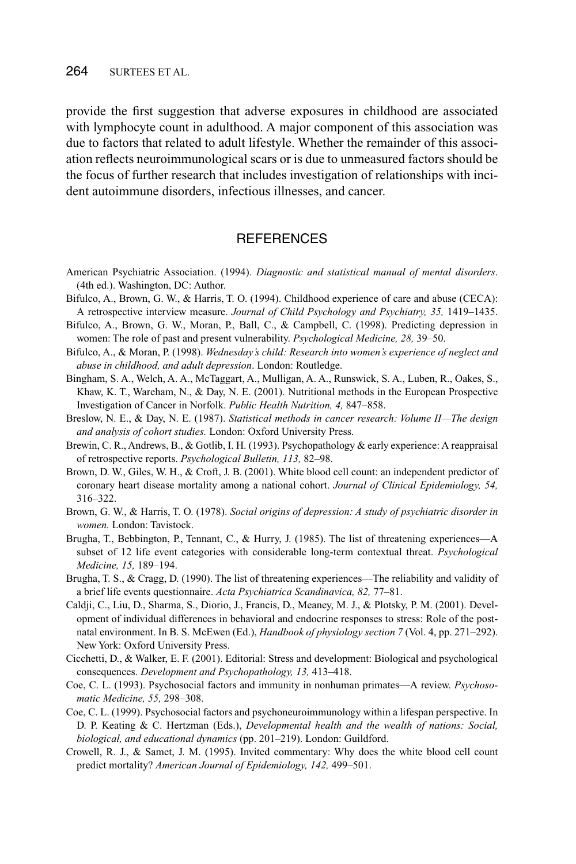#### 264 SURTEES ET AL.

provide the first suggestion that adverse exposures in childhood are associated with lymphocyte count in adulthood. A major component of this association was due to factors that related to adult lifestyle. Whether the remainder of this association reflects neuroimmunological scars or is due to unmeasured factors should be the focus of further research that includes investigation of relationships with incident autoimmune disorders, infectious illnesses, and cancer.

## **REFERENCES**

- American Psychiatric Association. (1994). *Diagnostic and statistical manual of mental disorders*. (4th ed.). Washington, DC: Author.
- Bifulco, A., Brown, G. W., & Harris, T. O. (1994). Childhood experience of care and abuse (CECA): A retrospective interview measure. *Journal of Child Psychology and Psychiatry, 35,* 1419–1435.
- Bifulco, A., Brown, G. W., Moran, P., Ball, C., & Campbell, C. (1998). Predicting depression in women: The role of past and present vulnerability. *Psychological Medicine, 28,* 39–50.
- Bifulco, A., & Moran, P. (1998). *Wednesday's child: Research into women's experience of neglect and abuse in childhood, and adult depression*. London: Routledge.
- Bingham, S. A., Welch, A. A., McTaggart, A., Mulligan, A. A., Runswick, S. A., Luben, R., Oakes, S., Khaw, K. T., Wareham, N., & Day, N. E. (2001). Nutritional methods in the European Prospective Investigation of Cancer in Norfolk. *Public Health Nutrition, 4,* 847–858.
- Breslow, N. E., & Day, N. E. (1987). *Statistical methods in cancer research: Volume II—The design and analysis of cohort studies.* London: Oxford University Press.
- Brewin, C. R., Andrews, B., & Gotlib, I. H. (1993). Psychopathology & early experience: A reappraisal of retrospective reports. *Psychological Bulletin, 113,* 82–98.
- Brown, D. W., Giles, W. H., & Croft, J. B. (2001). White blood cell count: an independent predictor of coronary heart disease mortality among a national cohort. *Journal of Clinical Epidemiology, 54,* 316–322.
- Brown, G. W., & Harris, T. O. (1978). *Social origins of depression: A study of psychiatric disorder in women.* London: Tavistock.
- Brugha, T., Bebbington, P., Tennant, C., & Hurry, J. (1985). The list of threatening experiences—A subset of 12 life event categories with considerable long-term contextual threat. *Psychological Medicine, 15,* 189–194.
- Brugha, T. S., & Cragg, D. (1990). The list of threatening experiences—The reliability and validity of a brief life events questionnaire. *Acta Psychiatrica Scandinavica, 82,* 77–81.
- Caldji, C., Liu, D., Sharma, S., Diorio, J., Francis, D., Meaney, M. J., & Plotsky, P. M. (2001). Development of individual differences in behavioral and endocrine responses to stress: Role of the postnatal environment. In B. S. McEwen (Ed.), *Handbook of physiology section 7* (Vol. 4, pp. 271–292). New York: Oxford University Press.
- Cicchetti, D., & Walker, E. F. (2001). Editorial: Stress and development: Biological and psychological consequences. *Development and Psychopathology, 13,* 413–418.
- Coe, C. L. (1993). Psychosocial factors and immunity in nonhuman primates—A review. *Psychosomatic Medicine, 55,* 298–308.
- Coe, C. L. (1999). Psychosocial factors and psychoneuroimmunology within a lifespan perspective. In D. P. Keating & C. Hertzman (Eds.), *Developmental health and the wealth of nations: Social, biological, and educational dynamics* (pp. 201–219). London: Guildford.
- Crowell, R. J., & Samet, J. M. (1995). Invited commentary: Why does the white blood cell count predict mortality? *American Journal of Epidemiology, 142,* 499–501.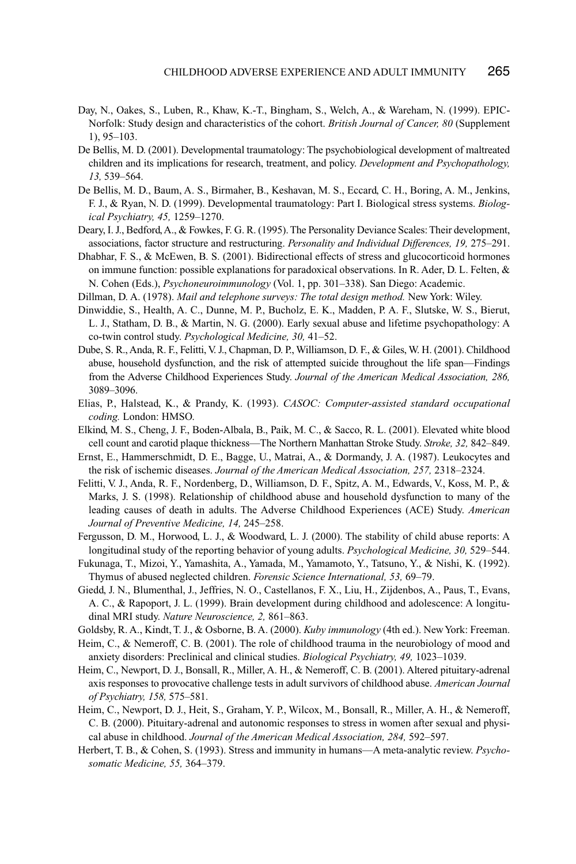- Day, N., Oakes, S., Luben, R., Khaw, K.-T., Bingham, S., Welch, A., & Wareham, N. (1999). EPIC-Norfolk: Study design and characteristics of the cohort. *British Journal of Cancer, 80* (Supplement 1), 95–103.
- De Bellis, M. D. (2001). Developmental traumatology: The psychobiological development of maltreated children and its implications for research, treatment, and policy. *Development and Psychopathology, 13,* 539–564.
- De Bellis, M. D., Baum, A. S., Birmaher, B., Keshavan, M. S., Eccard, C. H., Boring, A. M., Jenkins, F. J., & Ryan, N. D. (1999). Developmental traumatology: Part I. Biological stress systems. *Biological Psychiatry, 45,* 1259–1270.
- Deary, I. J., Bedford, A., & Fowkes, F. G. R. (1995). The Personality Deviance Scales: Their development, associations, factor structure and restructuring. *Personality and Individual Differences, 19,* 275–291.
- Dhabhar, F. S., & McEwen, B. S. (2001). Bidirectional effects of stress and glucocorticoid hormones on immune function: possible explanations for paradoxical observations. In R. Ader, D. L. Felten, & N. Cohen (Eds.), *Psychoneuroimmunology* (Vol. 1, pp. 301–338). San Diego: Academic.
- Dillman, D. A. (1978). *Mail and telephone surveys: The total design method.* New York: Wiley.
- Dinwiddie, S., Health, A. C., Dunne, M. P., Bucholz, E. K., Madden, P. A. F., Slutske, W. S., Bierut, L. J., Statham, D. B., & Martin, N. G. (2000). Early sexual abuse and lifetime psychopathology: A co-twin control study. *Psychological Medicine, 30,* 41–52.
- Dube, S. R., Anda, R. F., Felitti, V. J., Chapman, D. P., Williamson, D. F., & Giles, W. H. (2001). Childhood abuse, household dysfunction, and the risk of attempted suicide throughout the life span—Findings from the Adverse Childhood Experiences Study. *Journal of the American Medical Association, 286,* 3089–3096.
- Elias, P., Halstead, K., & Prandy, K. (1993). *CASOC: Computer-assisted standard occupational coding.* London: HMSO.
- Elkind, M. S., Cheng, J. F., Boden-Albala, B., Paik, M. C., & Sacco, R. L. (2001). Elevated white blood cell count and carotid plaque thickness—The Northern Manhattan Stroke Study. *Stroke, 32,* 842–849.
- Ernst, E., Hammerschmidt, D. E., Bagge, U., Matrai, A., & Dormandy, J. A. (1987). Leukocytes and the risk of ischemic diseases. *Journal of the American Medical Association, 257,* 2318–2324.
- Felitti, V. J., Anda, R. F., Nordenberg, D., Williamson, D. F., Spitz, A. M., Edwards, V., Koss, M. P., & Marks, J. S. (1998). Relationship of childhood abuse and household dysfunction to many of the leading causes of death in adults. The Adverse Childhood Experiences (ACE) Study. *American Journal of Preventive Medicine, 14,* 245–258.
- Fergusson, D. M., Horwood, L. J., & Woodward, L. J. (2000). The stability of child abuse reports: A longitudinal study of the reporting behavior of young adults. *Psychological Medicine, 30,* 529–544.
- Fukunaga, T., Mizoi, Y., Yamashita, A., Yamada, M., Yamamoto, Y., Tatsuno, Y., & Nishi, K. (1992). Thymus of abused neglected children. *Forensic Science International, 53,* 69–79.
- Giedd, J. N., Blumenthal, J., Jeffries, N. O., Castellanos, F. X., Liu, H., Zijdenbos, A., Paus, T., Evans, A. C., & Rapoport, J. L. (1999). Brain development during childhood and adolescence: A longitudinal MRI study. *Nature Neuroscience, 2,* 861–863.
- Goldsby, R. A., Kindt, T. J., & Osborne, B. A. (2000). *Kuby immunology* (4th ed.). New York: Freeman.
- Heim, C., & Nemeroff, C. B. (2001). The role of childhood trauma in the neurobiology of mood and anxiety disorders: Preclinical and clinical studies. *Biological Psychiatry, 49,* 1023–1039.
- Heim, C., Newport, D. J., Bonsall, R., Miller, A. H., & Nemeroff, C. B. (2001). Altered pituitary-adrenal axis responses to provocative challenge tests in adult survivors of childhood abuse. *American Journal of Psychiatry, 158,* 575–581.
- Heim, C., Newport, D. J., Heit, S., Graham, Y. P., Wilcox, M., Bonsall, R., Miller, A. H., & Nemeroff, C. B. (2000). Pituitary-adrenal and autonomic responses to stress in women after sexual and physical abuse in childhood. *Journal of the American Medical Association, 284,* 592–597.
- Herbert, T. B., & Cohen, S. (1993). Stress and immunity in humans—A meta-analytic review. *Psychosomatic Medicine, 55,* 364–379.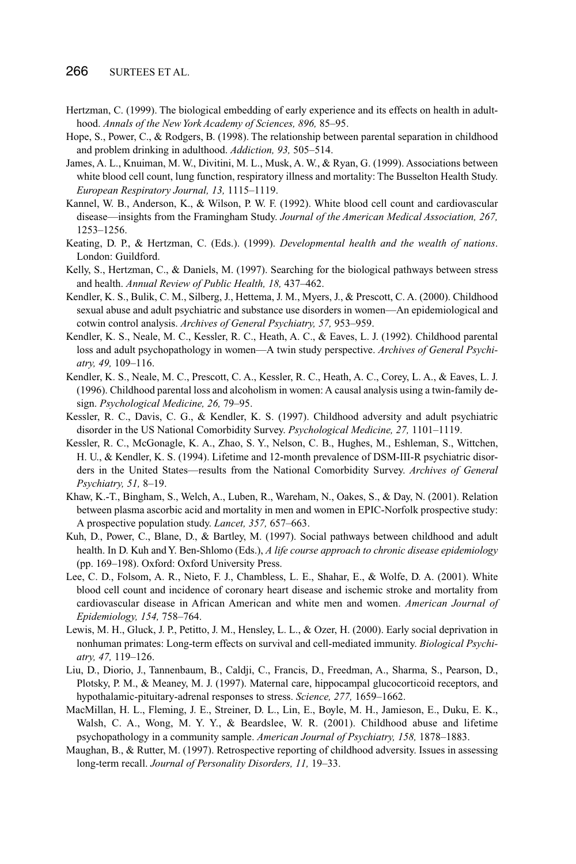- Hertzman, C. (1999). The biological embedding of early experience and its effects on health in adulthood. *Annals of the New York Academy of Sciences, 896,* 85–95.
- Hope, S., Power, C., & Rodgers, B. (1998). The relationship between parental separation in childhood and problem drinking in adulthood. *Addiction, 93,* 505–514.
- James, A. L., Knuiman, M. W., Divitini, M. L., Musk, A. W., & Ryan, G. (1999). Associations between white blood cell count, lung function, respiratory illness and mortality: The Busselton Health Study. *European Respiratory Journal, 13,* 1115–1119.
- Kannel, W. B., Anderson, K., & Wilson, P. W. F. (1992). White blood cell count and cardiovascular disease—insights from the Framingham Study. *Journal of the American Medical Association, 267,* 1253–1256.
- Keating, D. P., & Hertzman, C. (Eds.). (1999). *Developmental health and the wealth of nations*. London: Guildford.
- Kelly, S., Hertzman, C., & Daniels, M. (1997). Searching for the biological pathways between stress and health. *Annual Review of Public Health, 18,* 437–462.
- Kendler, K. S., Bulik, C. M., Silberg, J., Hettema, J. M., Myers, J., & Prescott, C. A. (2000). Childhood sexual abuse and adult psychiatric and substance use disorders in women—An epidemiological and cotwin control analysis. *Archives of General Psychiatry, 57,* 953–959.
- Kendler, K. S., Neale, M. C., Kessler, R. C., Heath, A. C., & Eaves, L. J. (1992). Childhood parental loss and adult psychopathology in women—A twin study perspective. *Archives of General Psychiatry, 49,* 109–116.
- Kendler, K. S., Neale, M. C., Prescott, C. A., Kessler, R. C., Heath, A. C., Corey, L. A., & Eaves, L. J. (1996). Childhood parental loss and alcoholism in women: A causal analysis using a twin-family design. *Psychological Medicine, 26,* 79–95.
- Kessler, R. C., Davis, C. G., & Kendler, K. S. (1997). Childhood adversity and adult psychiatric disorder in the US National Comorbidity Survey. *Psychological Medicine, 27,* 1101–1119.
- Kessler, R. C., McGonagle, K. A., Zhao, S. Y., Nelson, C. B., Hughes, M., Eshleman, S., Wittchen, H. U., & Kendler, K. S. (1994). Lifetime and 12-month prevalence of DSM-III-R psychiatric disorders in the United States—results from the National Comorbidity Survey. *Archives of General Psychiatry, 51,* 8–19.
- Khaw, K.-T., Bingham, S., Welch, A., Luben, R., Wareham, N., Oakes, S., & Day, N. (2001). Relation between plasma ascorbic acid and mortality in men and women in EPIC-Norfolk prospective study: A prospective population study. *Lancet, 357,* 657–663.
- Kuh, D., Power, C., Blane, D., & Bartley, M. (1997). Social pathways between childhood and adult health. In D. Kuh and Y. Ben-Shlomo (Eds.), *A life course approach to chronic disease epidemiology* (pp. 169–198). Oxford: Oxford University Press.
- Lee, C. D., Folsom, A. R., Nieto, F. J., Chambless, L. E., Shahar, E., & Wolfe, D. A. (2001). White blood cell count and incidence of coronary heart disease and ischemic stroke and mortality from cardiovascular disease in African American and white men and women. *American Journal of Epidemiology, 154,* 758–764.
- Lewis, M. H., Gluck, J. P., Petitto, J. M., Hensley, L. L., & Ozer, H. (2000). Early social deprivation in nonhuman primates: Long-term effects on survival and cell-mediated immunity. *Biological Psychiatry, 47,* 119–126.
- Liu, D., Diorio, J., Tannenbaum, B., Caldji, C., Francis, D., Freedman, A., Sharma, S., Pearson, D., Plotsky, P. M., & Meaney, M. J. (1997). Maternal care, hippocampal glucocorticoid receptors, and hypothalamic-pituitary-adrenal responses to stress. *Science, 277,* 1659–1662.
- MacMillan, H. L., Fleming, J. E., Streiner, D. L., Lin, E., Boyle, M. H., Jamieson, E., Duku, E. K., Walsh, C. A., Wong, M. Y. Y., & Beardslee, W. R. (2001). Childhood abuse and lifetime psychopathology in a community sample. *American Journal of Psychiatry, 158,* 1878–1883.
- Maughan, B., & Rutter, M. (1997). Retrospective reporting of childhood adversity. Issues in assessing long-term recall. *Journal of Personality Disorders, 11,* 19–33.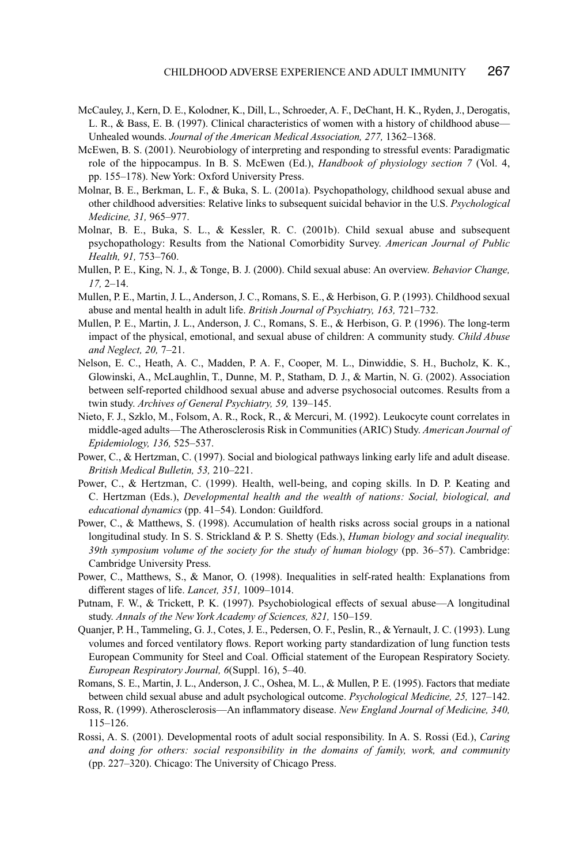- McCauley, J., Kern, D. E., Kolodner, K., Dill, L., Schroeder, A. F., DeChant, H. K., Ryden, J., Derogatis, L. R., & Bass, E. B. (1997). Clinical characteristics of women with a history of childhood abuse— Unhealed wounds. *Journal of the American Medical Association, 277,* 1362–1368.
- McEwen, B. S. (2001). Neurobiology of interpreting and responding to stressful events: Paradigmatic role of the hippocampus. In B. S. McEwen (Ed.), *Handbook of physiology section 7* (Vol. 4, pp. 155–178). New York: Oxford University Press.
- Molnar, B. E., Berkman, L. F., & Buka, S. L. (2001a). Psychopathology, childhood sexual abuse and other childhood adversities: Relative links to subsequent suicidal behavior in the U.S. *Psychological Medicine, 31,* 965–977.
- Molnar, B. E., Buka, S. L., & Kessler, R. C. (2001b). Child sexual abuse and subsequent psychopathology: Results from the National Comorbidity Survey. *American Journal of Public Health, 91,* 753–760.
- Mullen, P. E., King, N. J., & Tonge, B. J. (2000). Child sexual abuse: An overview. *Behavior Change, 17,* 2–14.
- Mullen, P. E., Martin, J. L., Anderson, J. C., Romans, S. E., & Herbison, G. P. (1993). Childhood sexual abuse and mental health in adult life. *British Journal of Psychiatry, 163,* 721–732.
- Mullen, P. E., Martin, J. L., Anderson, J. C., Romans, S. E., & Herbison, G. P. (1996). The long-term impact of the physical, emotional, and sexual abuse of children: A community study. *Child Abuse and Neglect, 20,* 7–21.
- Nelson, E. C., Heath, A. C., Madden, P. A. F., Cooper, M. L., Dinwiddie, S. H., Bucholz, K. K., Glowinski, A., McLaughlin, T., Dunne, M. P., Statham, D. J., & Martin, N. G. (2002). Association between self-reported childhood sexual abuse and adverse psychosocial outcomes. Results from a twin study. *Archives of General Psychiatry, 59,* 139–145.
- Nieto, F. J., Szklo, M., Folsom, A. R., Rock, R., & Mercuri, M. (1992). Leukocyte count correlates in middle-aged adults—The Atherosclerosis Risk in Communities (ARIC) Study. *American Journal of Epidemiology, 136,* 525–537.
- Power, C., & Hertzman, C. (1997). Social and biological pathways linking early life and adult disease. *British Medical Bulletin, 53,* 210–221.
- Power, C., & Hertzman, C. (1999). Health, well-being, and coping skills. In D. P. Keating and C. Hertzman (Eds.), *Developmental health and the wealth of nations: Social, biological, and educational dynamics* (pp. 41–54). London: Guildford.
- Power, C., & Matthews, S. (1998). Accumulation of health risks across social groups in a national longitudinal study. In S. S. Strickland & P. S. Shetty (Eds.), *Human biology and social inequality. 39th symposium volume of the society for the study of human biology* (pp. 36–57). Cambridge: Cambridge University Press.
- Power, C., Matthews, S., & Manor, O. (1998). Inequalities in self-rated health: Explanations from different stages of life. *Lancet, 351,* 1009–1014.
- Putnam, F. W., & Trickett, P. K. (1997). Psychobiological effects of sexual abuse—A longitudinal study. *Annals of the New York Academy of Sciences, 821,* 150–159.
- Quanjer, P. H., Tammeling, G. J., Cotes, J. E., Pedersen, O. F., Peslin, R., & Yernault, J. C. (1993). Lung volumes and forced ventilatory flows. Report working party standardization of lung function tests European Community for Steel and Coal. Official statement of the European Respiratory Society. *European Respiratory Journal, 6*(Suppl. 16), 5–40.
- Romans, S. E., Martin, J. L., Anderson, J. C., Oshea, M. L., & Mullen, P. E. (1995). Factors that mediate between child sexual abuse and adult psychological outcome. *Psychological Medicine, 25,* 127–142.
- Ross, R. (1999). Atherosclerosis—An inflammatory disease. *New England Journal of Medicine, 340,* 115–126.
- Rossi, A. S. (2001). Developmental roots of adult social responsibility. In A. S. Rossi (Ed.), *Caring and doing for others: social responsibility in the domains of family, work, and community* (pp. 227–320). Chicago: The University of Chicago Press.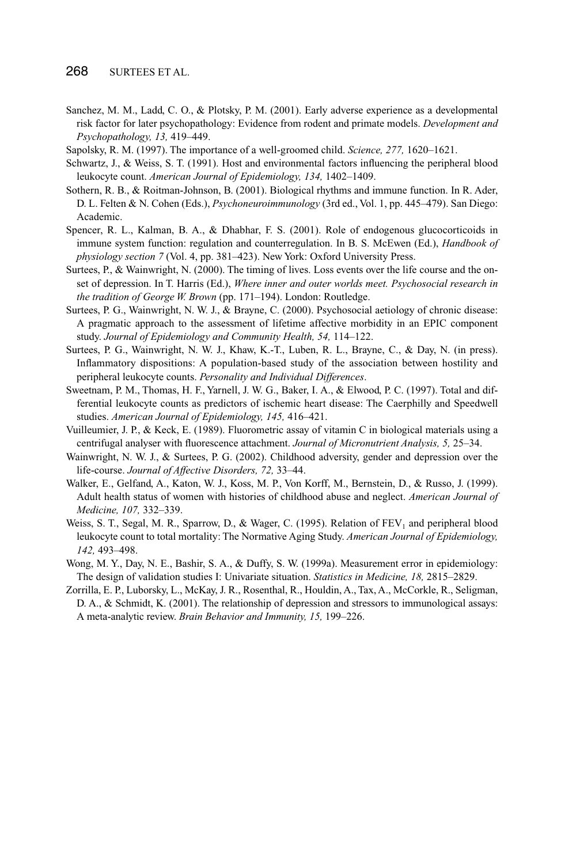- Sanchez, M. M., Ladd, C. O., & Plotsky, P. M. (2001). Early adverse experience as a developmental risk factor for later psychopathology: Evidence from rodent and primate models. *Development and Psychopathology, 13,* 419–449.
- Sapolsky, R. M. (1997). The importance of a well-groomed child. *Science, 277,* 1620–1621.
- Schwartz, J., & Weiss, S. T. (1991). Host and environmental factors influencing the peripheral blood leukocyte count. *American Journal of Epidemiology, 134,* 1402–1409.
- Sothern, R. B., & Roitman-Johnson, B. (2001). Biological rhythms and immune function. In R. Ader, D. L. Felten & N. Cohen (Eds.), *Psychoneuroimmunology* (3rd ed., Vol. 1, pp. 445–479). San Diego: Academic.
- Spencer, R. L., Kalman, B. A., & Dhabhar, F. S. (2001). Role of endogenous glucocorticoids in immune system function: regulation and counterregulation. In B. S. McEwen (Ed.), *Handbook of physiology section 7* (Vol. 4, pp. 381–423). New York: Oxford University Press.
- Surtees, P., & Wainwright, N. (2000). The timing of lives. Loss events over the life course and the onset of depression. In T. Harris (Ed.), *Where inner and outer worlds meet. Psychosocial research in the tradition of George W. Brown* (pp. 171–194). London: Routledge.
- Surtees, P. G., Wainwright, N. W. J., & Brayne, C. (2000). Psychosocial aetiology of chronic disease: A pragmatic approach to the assessment of lifetime affective morbidity in an EPIC component study. *Journal of Epidemiology and Community Health, 54,* 114–122.
- Surtees, P. G., Wainwright, N. W. J., Khaw, K.-T., Luben, R. L., Brayne, C., & Day, N. (in press). Inflammatory dispositions: A population-based study of the association between hostility and peripheral leukocyte counts. *Personality and Individual Differences*.
- Sweetnam, P. M., Thomas, H. F., Yarnell, J. W. G., Baker, I. A., & Elwood, P. C. (1997). Total and differential leukocyte counts as predictors of ischemic heart disease: The Caerphilly and Speedwell studies. *American Journal of Epidemiology, 145,* 416–421.
- Vuilleumier, J. P., & Keck, E. (1989). Fluorometric assay of vitamin C in biological materials using a centrifugal analyser with fluorescence attachment. *Journal of Micronutrient Analysis, 5,* 25–34.
- Wainwright, N. W. J., & Surtees, P. G. (2002). Childhood adversity, gender and depression over the life-course. *Journal of Affective Disorders, 72,* 33–44.
- Walker, E., Gelfand, A., Katon, W. J., Koss, M. P., Von Korff, M., Bernstein, D., & Russo, J. (1999). Adult health status of women with histories of childhood abuse and neglect. *American Journal of Medicine, 107,* 332–339.
- Weiss, S. T., Segal, M. R., Sparrow, D., & Wager, C. (1995). Relation of  $FEV<sub>1</sub>$  and peripheral blood leukocyte count to total mortality: The Normative Aging Study. *American Journal of Epidemiology, 142,* 493–498.
- Wong, M. Y., Day, N. E., Bashir, S. A., & Duffy, S. W. (1999a). Measurement error in epidemiology: The design of validation studies I: Univariate situation. *Statistics in Medicine, 18,* 2815–2829.
- Zorrilla, E. P., Luborsky, L., McKay, J. R., Rosenthal, R., Houldin, A., Tax, A., McCorkle, R., Seligman, D. A., & Schmidt, K. (2001). The relationship of depression and stressors to immunological assays: A meta-analytic review. *Brain Behavior and Immunity, 15,* 199–226.